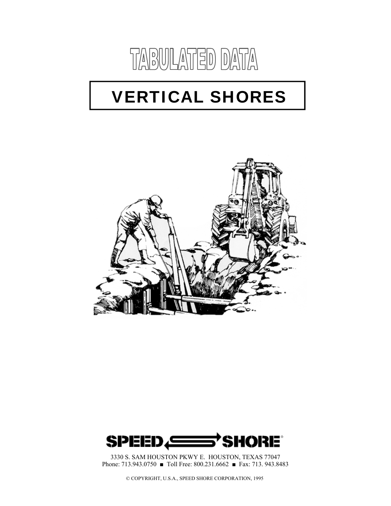

# VERTICAL SHORES





3330 S. SAM HOUSTON PKWY E. HOUSTON, TEXAS 77047 Phone: 713.943.0750 ■ Toll Free: 800.231.6662 ■ Fax: 713. 943.8483

© COPYRIGHT, U.S.A., SPEED SHORE CORPORATION, 1995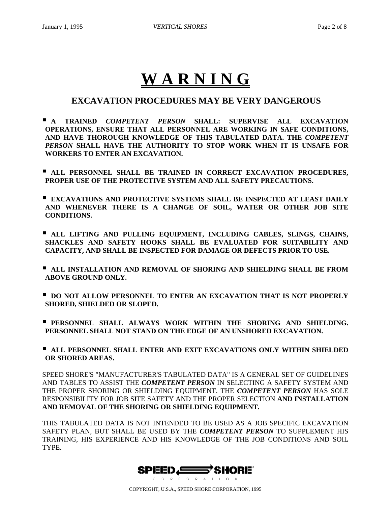## **W A R N I N G**

### **EXCAVATION PROCEDURES MAY BE VERY DANGEROUS**

- **A TRAINED** *COMPETENT PERSON* **SHALL: SUPERVISE ALL EXCAVATION OPERATIONS, ENSURE THAT ALL PERSONNEL ARE WORKING IN SAFE CONDITIONS, AND HAVE THOROUGH KNOWLEDGE OF THIS TABULATED DATA. THE** *COMPETENT PERSON* **SHALL HAVE THE AUTHORITY TO STOP WORK WHEN IT IS UNSAFE FOR WORKERS TO ENTER AN EXCAVATION.**
- **ALL PERSONNEL SHALL BE TRAINED IN CORRECT EXCAVATION PROCEDURES, PROPER USE OF THE PROTECTIVE SYSTEM AND ALL SAFETY PRECAUTIONS.**
- **EXCAVATIONS AND PROTECTIVE SYSTEMS SHALL BE INSPECTED AT LEAST DAILY AND WHENEVER THERE IS A CHANGE OF SOIL, WATER OR OTHER JOB SITE CONDITIONS.**
- **ALL LIFTING AND PULLING EQUIPMENT, INCLUDING CABLES, SLINGS, CHAINS, SHACKLES AND SAFETY HOOKS SHALL BE EVALUATED FOR SUITABILITY AND CAPACITY, AND SHALL BE INSPECTED FOR DAMAGE OR DEFECTS PRIOR TO USE.**
- **ALL INSTALLATION AND REMOVAL OF SHORING AND SHIELDING SHALL BE FROM ABOVE GROUND ONLY.**
- **P** DO NOT ALLOW PERSONNEL TO ENTER AN EXCAVATION THAT IS NOT PROPERLY **SHORED, SHIELDED OR SLOPED.**
- **PERSONNEL SHALL ALWAYS WORK WITHIN THE SHORING AND SHIELDING. PERSONNEL SHALL NOT STAND ON THE EDGE OF AN UNSHORED EXCAVATION.**
- **ALL PERSONNEL SHALL ENTER AND EXIT EXCAVATIONS ONLY WITHIN SHIELDED OR SHORED AREAS.**

SPEED SHORE'S "MANUFACTURER'S TABULATED DATA" IS A GENERAL SET OF GUIDELINES AND TABLES TO ASSIST THE *COMPETENT PERSON* IN SELECTING A SAFETY SYSTEM AND THE PROPER SHORING OR SHIELDING EQUIPMENT. THE *COMPETENT PERSON* HAS SOLE RESPONSIBILITY FOR JOB SITE SAFETY AND THE PROPER SELECTION **AND INSTALLATION AND REMOVAL OF THE SHORING OR SHIELDING EQUIPMENT.** 

THIS TABULATED DATA IS NOT INTENDED TO BE USED AS A JOB SPECIFIC EXCAVATION SAFETY PLAN, BUT SHALL BE USED BY THE *COMPETENT PERSON* TO SUPPLEMENT HIS TRAINING, HIS EXPERIENCE AND HIS KNOWLEDGE OF THE JOB CONDITIONS AND SOIL TYPE.

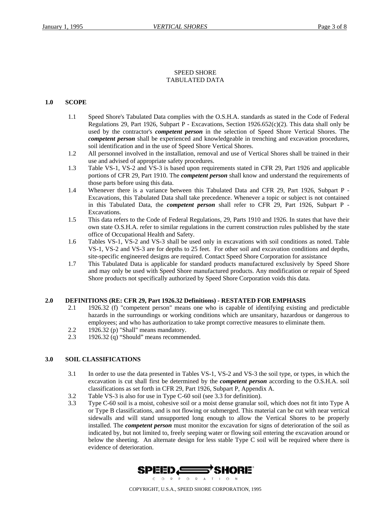#### SPEED SHORE TABULATED DATA

#### **1.0 SCOPE**

- 1.1 Speed Shore's Tabulated Data complies with the O.S.H.A. standards as stated in the Code of Federal Regulations 29, Part 1926, Subpart P - Excavations, Section  $1926.652(c)(2)$ . This data shall only be used by the contractor's *competent person* in the selection of Speed Shore Vertical Shores. The *competent person* shall be experienced and knowledgeable in trenching and excavation procedures, soil identification and in the use of Speed Shore Vertical Shores.
- 1.2 All personnel involved in the installation, removal and use of Vertical Shores shall be trained in their use and advised of appropriate safety procedures.
- 1.3 Table VS-1, VS-2 and VS-3 is based upon requirements stated in CFR 29, Part 1926 and applicable portions of CFR 29, Part 1910. The *competent person* shall know and understand the requirements of those parts before using this data.
- 1.4 Whenever there is a variance between this Tabulated Data and CFR 29, Part 1926, Subpart P Excavations, this Tabulated Data shall take precedence. Whenever a topic or subject is not contained in this Tabulated Data, the *competent person* shall refer to CFR 29, Part 1926, Subpart P - Excavations.
- 1.5 This data refers to the Code of Federal Regulations, 29, Parts 1910 and 1926. In states that have their own state O.S.H.A. refer to similar regulations in the current construction rules published by the state office of Occupational Health and Safety.
- 1.6 Tables VS-1, VS-2 and VS-3 shall be used only in excavations with soil conditions as noted. Table VS-1, VS-2 and VS-3 are for depths to 25 feet. For other soil and excavation conditions and depths, site-specific engineered designs are required. Contact Speed Shore Corporation for assistance
- 1.7 This Tabulated Data is applicable for standard products manufactured exclusively by Speed Shore and may only be used with Speed Shore manufactured products. Any modification or repair of Speed Shore products not specifically authorized by Speed Shore Corporation voids this data.

#### **2.0 DEFINITIONS (RE: CFR 29, Part 1926.32 Definitions) - RESTATED FOR EMPHASIS**

- 2.1 1926.32 (f) "competent person" means one who is capable of identifying existing and predictable hazards in the surroundings or working conditions which are unsanitary, hazardous or dangerous to employees; and who has authorization to take prompt corrective measures to eliminate them.
- 2.2 1926.32 (p) "Shall" means mandatory.
- 2.3 1926.32 (q) "Should" means recommended.

#### **3.0 SOIL CLASSIFICATIONS**

- 3.1 In order to use the data presented in Tables VS-1, VS-2 and VS-3 the soil type, or types, in which the excavation is cut shall first be determined by the *competent person* according to the O.S.H.A. soil classifications as set forth in CFR 29, Part 1926, Subpart P, Appendix A.
- 3.2 Table VS-3 is also for use in Type C-60 soil (see 3.3 for definition).
- 3.3 Type C-60 soil is a moist, cohesive soil or a moist dense granular soil, which does not fit into Type A or Type B classifications, and is not flowing or submerged. This material can be cut with near vertical sidewalls and will stand unsupported long enough to allow the Vertical Shores to be properly installed. The *competent person* must monitor the excavation for signs of deterioration of the soil as indicated by, but not limited to, freely seeping water or flowing soil entering the excavation around or below the sheeting. An alternate design for less stable Type C soil will be required where there is evidence of deterioration.

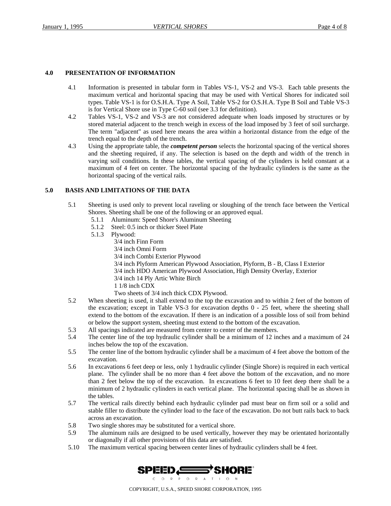#### **4.0 PRESENTATION OF INFORMATION**

- 4.1 Information is presented in tabular form in Tables VS-1, VS-2 and VS-3. Each table presents the maximum vertical and horizontal spacing that may be used with Vertical Shores for indicated soil types. Table VS-1 is for O.S.H.A. Type A Soil, Table VS-2 for O.S.H.A. Type B Soil and Table VS-3 is for Vertical Shore use in Type C-60 soil (see 3.3 for definition).
- 4.2 Tables VS-1, VS-2 and VS-3 are not considered adequate when loads imposed by structures or by stored material adjacent to the trench weigh in excess of the load imposed by 3 feet of soil surcharge. The term "adjacent" as used here means the area within a horizontal distance from the edge of the trench equal to the depth of the trench.
- 4.3 Using the appropriate table, the *competent person* selects the horizontal spacing of the vertical shores and the sheeting required, if any. The selection is based on the depth and width of the trench in varying soil conditions. In these tables, the vertical spacing of the cylinders is held constant at a maximum of 4 feet on center. The horizontal spacing of the hydraulic cylinders is the same as the horizontal spacing of the vertical rails.

#### **5.0 BASIS AND LIMITATIONS OF THE DATA**

- 5.1 Sheeting is used only to prevent local raveling or sloughing of the trench face between the Vertical Shores. Sheeting shall be one of the following or an approved equal.
	- 5.1.1 Aluminum: Speed Shore's Aluminum Sheeting
	- 5.1.2 Steel: 0.5 inch or thicker Steel Plate
	- 5.1.3 Plywood:
		- 3/4 inch Finn Form
			- 3/4 inch Omni Form
			- 3/4 inch Combi Exterior Plywood
			- 3/4 inch Plyform American Plywood Association, Plyform, B B, Class I Exterior
		- 3/4 inch HDO American Plywood Association, High Density Overlay, Exterior
			- 3/4 inch 14 Ply Artic White Birch
			- 1 1/8 inch CDX
			- Two sheets of 3/4 inch thick CDX Plywood.
- 5.2 When sheeting is used, it shall extend to the top the excavation and to within 2 feet of the bottom of the excavation; except in Table VS-3 for excavation depths 0 - 25 feet, where the sheeting shall extend to the bottom of the excavation. If there is an indication of a possible loss of soil from behind or below the support system, sheeting must extend to the bottom of the excavation.
- 5.3 All spacings indicated are measured from center to center of the members.
- 5.4 The center line of the top hydraulic cylinder shall be a minimum of 12 inches and a maximum of 24 inches below the top of the excavation.
- 5.5 The center line of the bottom hydraulic cylinder shall be a maximum of 4 feet above the bottom of the excavation.
- 5.6 In excavations 6 feet deep or less, only 1 hydraulic cylinder (Single Shore) is required in each vertical plane. The cylinder shall be no more than 4 feet above the bottom of the excavation, and no more than 2 feet below the top of the excavation. In excavations 6 feet to 10 feet deep there shall be a minimum of 2 hydraulic cylinders in each vertical plane. The horizontal spacing shall be as shown in the tables.
- 5.7 The vertical rails directly behind each hydraulic cylinder pad must bear on firm soil or a solid and stable filler to distribute the cylinder load to the face of the excavation. Do not butt rails back to back across an excavation.
- 5.8 Two single shores may be substituted for a vertical shore.
- 5.9 The aluminum rails are designed to be used vertically, however they may be orientated horizontally or diagonally if all other provisions of this data are satisfied.
- 5.10 The maximum vertical spacing between center lines of hydraulic cylinders shall be 4 feet.

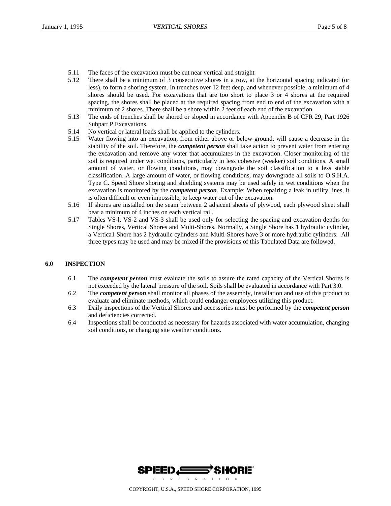- 5.11 The faces of the excavation must be cut near vertical and straight
- 5.12 There shall be a minimum of 3 consecutive shores in a row, at the horizontal spacing indicated (or less), to form a shoring system. In trenches over 12 feet deep, and whenever possible, a minimum of 4 shores should be used. For excavations that are too short to place 3 or 4 shores at the required spacing, the shores shall be placed at the required spacing from end to end of the excavation with a minimum of 2 shores. There shall be a shore within 2 feet of each end of the excavation
- 5.13 The ends of trenches shall be shored or sloped in accordance with Appendix B of CFR 29, Part 1926 Subpart P Excavations.
- 5.14 No vertical or lateral loads shall be applied to the cylinders.
- 5.15 Water flowing into an excavation, from either above or below ground, will cause a decrease in the stability of the soil. Therefore, the *competent person* shall take action to prevent water from entering the excavation and remove any water that accumulates in the excavation. Closer monitoring of the soil is required under wet conditions, particularly in less cohesive (weaker) soil conditions. A small amount of water, or flowing conditions, may downgrade the soil classification to a less stable classification. A large amount of water, or flowing conditions, may downgrade all soils to O.S.H.A. Type C. Speed Shore shoring and shielding systems may be used safely in wet conditions when the excavation is monitored by the *competent person*. Example: When repairing a leak in utility lines, it is often difficult or even impossible, to keep water out of the excavation.
- 5.16 If shores are installed on the seam between 2 adjacent sheets of plywood, each plywood sheet shall bear a minimum of 4 inches on each vertical rail.
- 5.17 Tables VS-l, VS-2 and VS-3 shall be used only for selecting the spacing and excavation depths for Single Shores, Vertical Shores and Multi-Shores. Normally, a Single Shore has 1 hydraulic cylinder, a Vertica1 Shore has 2 hydraulic cylinders and Multi-Shores have 3 or more hydraulic cylinders. All three types may be used and may be mixed if the provisions of this Tabulated Data are followed.

#### **6.0 INSPECTION**

- 6.1 The *competent person* must evaluate the soils to assure the rated capacity of the Vertical Shores is not exceeded by the lateral pressure of the soil. Soils shall be evaluated in accordance with Part 3.0.
- 6.2 The *competent person* shall monitor all phases of the assembly, installation and use of this product to evaluate and eliminate methods, which could endanger employees utilizing this product.
- 6.3 Daily inspections of the Vertical Shores and accessories must be performed by the *competent person* and deficiencies corrected.
- 6.4 Inspections shall be conducted as necessary for hazards associated with water accumulation, changing soil conditions, or changing site weather conditions.

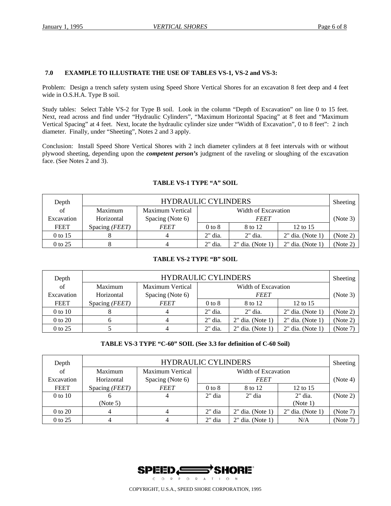#### **7.0 EXAMPLE TO ILLUSTRATE THE USE OF TABLES VS-1, VS-2 and VS-3:**

Problem: Design a trench safety system using Speed Shore Vertical Shores for an excavation 8 feet deep and 4 feet wide in O.S.H.A. Type B soil.

Study tables: Select Table VS-2 for Type B soil. Look in the column "Depth of Excavation" on line 0 to 15 feet. Next, read across and find under "Hydraulic Cylinders", "Maximum Horizontal Spacing" at 8 feet and "Maximum Vertical Spacing" at 4 feet. Next, locate the hydraulic cylinder size under "Width of Excavation", 0 to 8 feet": 2 inch diameter. Finally, under "Sheeting", Notes 2 and 3 apply.

Conclusion: Install Speed Shore Vertical Shores with 2 inch diameter cylinders at 8 feet intervals with or without plywood sheeting, depending upon the *competent person's* judgment of the raveling or sloughing of the excavation face. (See Notes 2 and 3).

| Depth      | <b>HYDRAULIC CYLINDERS</b> |                  |                     |                    |                    | Sheeting |
|------------|----------------------------|------------------|---------------------|--------------------|--------------------|----------|
| of         | Maximum                    | Maximum Vertical | Width of Excavation |                    |                    |          |
| Excavation | Horizontal                 | Spacing (Note 6) | <b>FEET</b>         |                    |                    | (Note 3) |
| FEET       | Spacing ( <i>FEET</i> )    | <b>FEET</b>      | $0$ to $8$          | 8 to 12            | 12 to 15           |          |
| 0 to 15    |                            |                  | $2"$ dia.           | $2"$ dia.          | $2"$ dia. (Note 1) | (Note 2) |
| 0 to 25    |                            |                  | $2"$ dia.           | $2"$ dia. (Note 1) | $2"$ dia. (Note 1) | (Note 2) |

#### **TABLE VS-1 TYPE "A" SOIL**

#### **TABLE VS-2 TYPE "B" SOIL**

| Depth       | <b>HYDRAULIC CYLINDERS</b> |                  |                     |                     |                    | Sheeting |
|-------------|----------------------------|------------------|---------------------|---------------------|--------------------|----------|
| of          | Maximum                    | Maximum Vertical | Width of Excavation |                     |                    |          |
| Excavation  | Horizontal                 | Spacing (Note 6) | <b>FEET</b>         |                     |                    | (Note 3) |
| FEET        | Spacing ( <i>FEET</i> )    | <b>FEET</b>      | $0$ to $8$          | 8 to 12             | 12 to 15           |          |
| $0$ to $10$ |                            | 4                | $2"$ dia.           | $2"$ dia.           | $2"$ dia. (Note 1) | (Note 2) |
| 0 to 20     |                            |                  | $2"$ dia.           | $2"$ dia. (Note 1)  | $2"$ dia. (Note 1) | (Note 2) |
| 0 to 25     |                            |                  | $2"$ dia.           | $2$ " dia. (Note 1) | $2"$ dia. (Note 1) | (Note 7) |

#### **TABLE VS-3 TYPE "C-60" SOIL (See 3.3 for definition of C-60 Soil)**

| Depth       | <b>HYDRAULIC CYLINDERS</b> |                         |                     |                    |                    | Sheeting |
|-------------|----------------------------|-------------------------|---------------------|--------------------|--------------------|----------|
| of          | Maximum                    | <b>Maximum Vertical</b> | Width of Excavation |                    |                    |          |
| Excavation  | Horizontal                 | Spacing (Note 6)        | <b>FEET</b>         |                    |                    | (Note 4) |
| <b>FEET</b> | Spacing (FEET)             | <b>FEET</b>             | $0$ to $8$          | 8 to 12            | 12 to 15           |          |
| $0$ to $10$ |                            |                         | $2"$ dia            | $2"$ dia           | $2"$ dia.          | (Note 2) |
|             | (Note 5)                   |                         |                     |                    | (Note 1)           |          |
| 0 to 20     |                            |                         | $2"$ dia            | $2"$ dia. (Note 1) | $2"$ dia. (Note 1) | (Note 7) |
| 0 to 25     |                            |                         | $2"$ dia            | $2"$ dia. (Note 1) | N/A                | (Note 7) |



COPYRIGHT, U.S.A., SPEED SHORE CORPORATION, 1995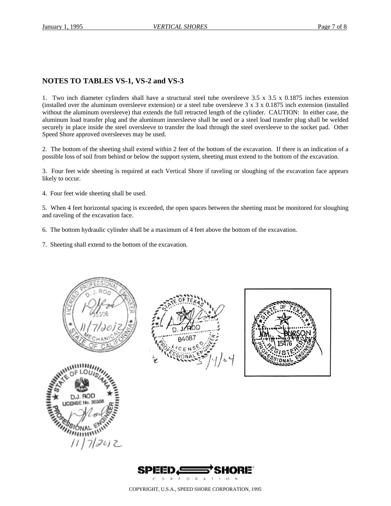#### **NOTES TO TABLES VS-1, VS-2 and VS-3**

1. Two inch diameter cylinders shall have a structural steel tube oversleeve 3.5 x 3.5 x 0.1875 inches extension (installed over the aluminum oversleeve extension) or a steel tube oversleeve  $3 \times 3 \times 0.1875$  inch extension (installed without the aluminum oversleeve) that extends the full retracted length of the cylinder. CAUTION: In either case, the aluminum load transfer plug and the aluminum innersleeve shall be used or a steel load transfer plug shall be welded securely in place inside the steel oversleeve to transfer the load through the steel oversleeve to the socket pad. Other Speed Shore approved oversleeves may be used.

2. The bottom of the sheeting shall extend within 2 feet of the bottom of the excavation. If there is an indication of a possible loss of soil from behind or below the support system, sheeting must extend to the bottom of the excavation.

3. Four feet wide sheeting is required at each Vertical Shore if raveling or sloughing of the excavation face appears likely to occur.

4. Four feet wide sheeting shall be used.

5. When 4 feet horizontal spacing is exceeded, the open spaces between the sheeting must be monitored for sloughing and raveling of the excavation face.

- 6. The bottom hydraulic cylinder shall be a maximum of 4 feet above the bottom of the excavation.
- 7. Sheeting shall extend to the bottom of the excavation.